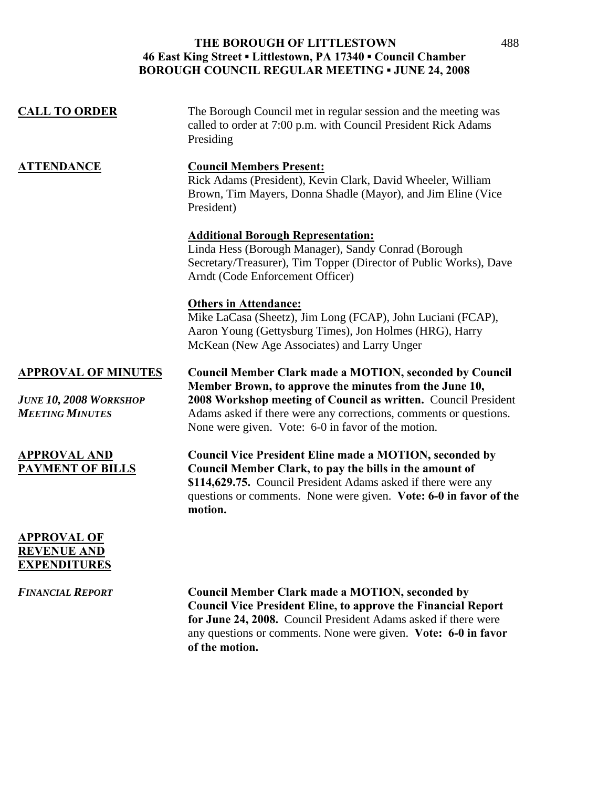| <b>CALL TO ORDER</b>                                                                  | The Borough Council met in regular session and the meeting was<br>called to order at 7:00 p.m. with Council President Rick Adams<br>Presiding                                                                                                                                                                         |
|---------------------------------------------------------------------------------------|-----------------------------------------------------------------------------------------------------------------------------------------------------------------------------------------------------------------------------------------------------------------------------------------------------------------------|
| <b>ATTENDANCE</b>                                                                     | <b>Council Members Present:</b><br>Rick Adams (President), Kevin Clark, David Wheeler, William<br>Brown, Tim Mayers, Donna Shadle (Mayor), and Jim Eline (Vice<br>President)                                                                                                                                          |
|                                                                                       | <b>Additional Borough Representation:</b><br>Linda Hess (Borough Manager), Sandy Conrad (Borough<br>Secretary/Treasurer), Tim Topper (Director of Public Works), Dave<br>Arndt (Code Enforcement Officer)                                                                                                             |
|                                                                                       | <b>Others in Attendance:</b><br>Mike LaCasa (Sheetz), Jim Long (FCAP), John Luciani (FCAP),<br>Aaron Young (Gettysburg Times), Jon Holmes (HRG), Harry<br>McKean (New Age Associates) and Larry Unger                                                                                                                 |
| <b>APPROVAL OF MINUTES</b><br><b>JUNE 10, 2008 WORKSHOP</b><br><b>MEETING MINUTES</b> | <b>Council Member Clark made a MOTION, seconded by Council</b><br>Member Brown, to approve the minutes from the June 10,<br>2008 Workshop meeting of Council as written. Council President<br>Adams asked if there were any corrections, comments or questions.<br>None were given. Vote: 6-0 in favor of the motion. |
| <b>APPROVAL AND</b><br><b>PAYMENT OF BILLS</b>                                        | <b>Council Vice President Eline made a MOTION, seconded by</b><br>Council Member Clark, to pay the bills in the amount of<br>\$114,629.75. Council President Adams asked if there were any<br>questions or comments. None were given. Vote: 6-0 in favor of the<br>motion.                                            |
| <b>APPROVAL OF</b><br><b>REVENUE AND</b><br><b>EXPENDITURES</b>                       |                                                                                                                                                                                                                                                                                                                       |

*FINANCIAL REPORT* **Council Member Clark made a MOTION, seconded by Council Vice President Eline, to approve the Financial Report for June 24, 2008.** Council President Adams asked if there were any questions or comments. None were given. **Vote: 6-0 in favor of the motion.**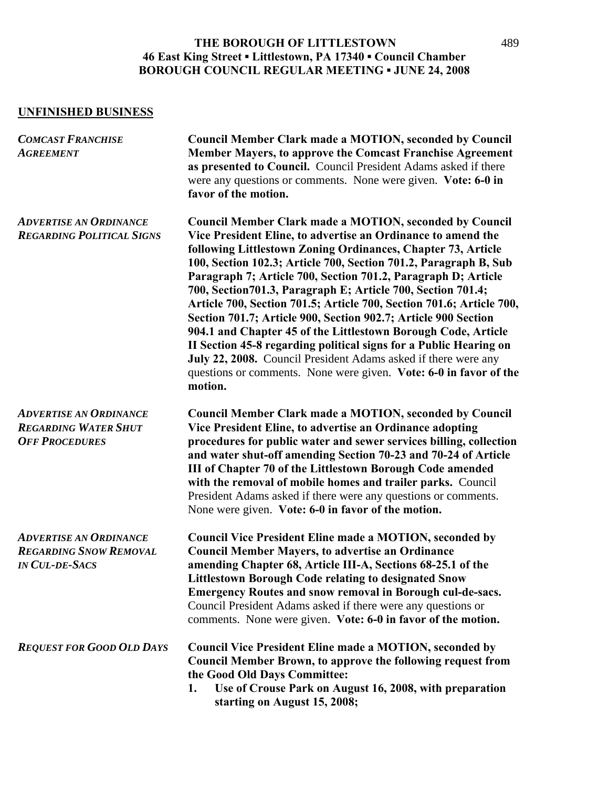## **UNFINISHED BUSINESS**

| <b>COMCAST FRANCHISE</b><br><b>AGREEMENT</b>                                            | <b>Council Member Clark made a MOTION, seconded by Council</b><br><b>Member Mayers, to approve the Comcast Franchise Agreement</b><br>as presented to Council. Council President Adams asked if there<br>were any questions or comments. None were given. Vote: 6-0 in<br>favor of the motion.                                                                                                                                                                                                                                                                                                                                                                                                                                                                                                                                        |
|-----------------------------------------------------------------------------------------|---------------------------------------------------------------------------------------------------------------------------------------------------------------------------------------------------------------------------------------------------------------------------------------------------------------------------------------------------------------------------------------------------------------------------------------------------------------------------------------------------------------------------------------------------------------------------------------------------------------------------------------------------------------------------------------------------------------------------------------------------------------------------------------------------------------------------------------|
| <b>ADVERTISE AN ORDINANCE</b><br><b>REGARDING POLITICAL SIGNS</b>                       | <b>Council Member Clark made a MOTION, seconded by Council</b><br>Vice President Eline, to advertise an Ordinance to amend the<br>following Littlestown Zoning Ordinances, Chapter 73, Article<br>100, Section 102.3; Article 700, Section 701.2, Paragraph B, Sub<br>Paragraph 7; Article 700, Section 701.2, Paragraph D; Article<br>700, Section 701.3, Paragraph E; Article 700, Section 701.4;<br>Article 700, Section 701.5; Article 700, Section 701.6; Article 700,<br>Section 701.7; Article 900, Section 902.7; Article 900 Section<br>904.1 and Chapter 45 of the Littlestown Borough Code, Article<br>II Section 45-8 regarding political signs for a Public Hearing on<br>July 22, 2008. Council President Adams asked if there were any<br>questions or comments. None were given. Vote: 6-0 in favor of the<br>motion. |
| <b>ADVERTISE AN ORDINANCE</b><br><b>REGARDING WATER SHUT</b><br><b>OFF PROCEDURES</b>   | <b>Council Member Clark made a MOTION, seconded by Council</b><br>Vice President Eline, to advertise an Ordinance adopting<br>procedures for public water and sewer services billing, collection<br>and water shut-off amending Section 70-23 and 70-24 of Article<br>III of Chapter 70 of the Littlestown Borough Code amended<br>with the removal of mobile homes and trailer parks. Council<br>President Adams asked if there were any questions or comments.<br>None were given. Vote: 6-0 in favor of the motion.                                                                                                                                                                                                                                                                                                                |
| <b>ADVERTISE AN ORDINANCE</b><br><b>REGARDING SNOW REMOVAL</b><br><b>IN CUL-DE-SACS</b> | <b>Council Vice President Eline made a MOTION, seconded by</b><br><b>Council Member Mayers, to advertise an Ordinance</b><br>amending Chapter 68, Article III-A, Sections 68-25.1 of the<br><b>Littlestown Borough Code relating to designated Snow</b><br><b>Emergency Routes and snow removal in Borough cul-de-sacs.</b><br>Council President Adams asked if there were any questions or<br>comments. None were given. Vote: 6-0 in favor of the motion.                                                                                                                                                                                                                                                                                                                                                                           |
| <b>REQUEST FOR GOOD OLD DAYS</b>                                                        | <b>Council Vice President Eline made a MOTION, seconded by</b><br><b>Council Member Brown, to approve the following request from</b><br>the Good Old Days Committee:<br>Use of Crouse Park on August 16, 2008, with preparation<br>1.<br>starting on August 15, 2008;                                                                                                                                                                                                                                                                                                                                                                                                                                                                                                                                                                 |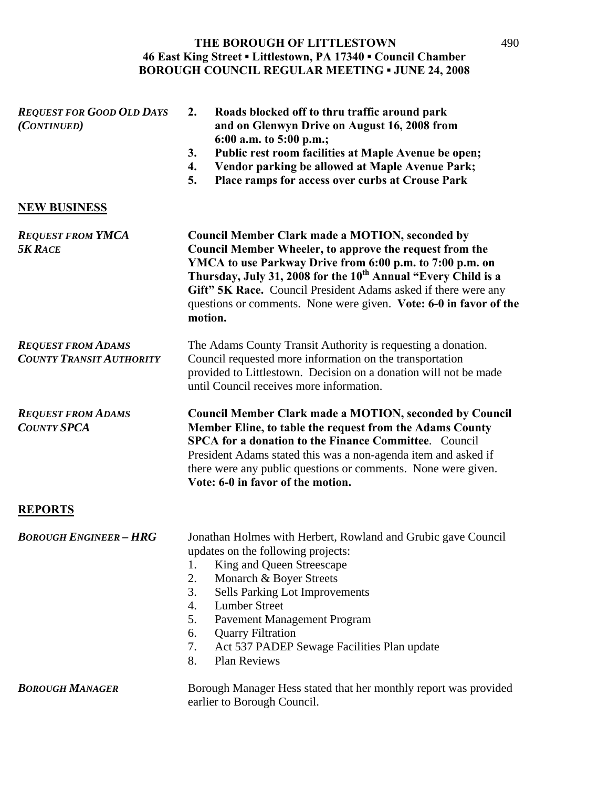| <b>REQUEST FOR GOOD OLD DAYS</b><br>(CONTINUED)              | 2.<br>Roads blocked off to thru traffic around park<br>and on Glenwyn Drive on August 16, 2008 from<br>6:00 a.m. to 5:00 p.m.;<br>Public rest room facilities at Maple Avenue be open;<br>3.<br>Vendor parking be allowed at Maple Avenue Park;<br>4.<br>5.<br>Place ramps for access over curbs at Crouse Park                                                                                              |
|--------------------------------------------------------------|--------------------------------------------------------------------------------------------------------------------------------------------------------------------------------------------------------------------------------------------------------------------------------------------------------------------------------------------------------------------------------------------------------------|
| <b>NEW BUSINESS</b>                                          |                                                                                                                                                                                                                                                                                                                                                                                                              |
| <b>REQUEST FROM YMCA</b><br><b>5K RACE</b>                   | <b>Council Member Clark made a MOTION, seconded by</b><br>Council Member Wheeler, to approve the request from the<br>YMCA to use Parkway Drive from 6:00 p.m. to 7:00 p.m. on<br>Thursday, July 31, 2008 for the 10 <sup>th</sup> Annual "Every Child is a<br>Gift" 5K Race. Council President Adams asked if there were any<br>questions or comments. None were given. Vote: 6-0 in favor of the<br>motion. |
| <b>REQUEST FROM ADAMS</b><br><b>COUNTY TRANSIT AUTHORITY</b> | The Adams County Transit Authority is requesting a donation.<br>Council requested more information on the transportation<br>provided to Littlestown. Decision on a donation will not be made<br>until Council receives more information.                                                                                                                                                                     |
| <b>REQUEST FROM ADAMS</b><br><b>COUNTY SPCA</b>              | <b>Council Member Clark made a MOTION, seconded by Council</b><br>Member Eline, to table the request from the Adams County<br><b>SPCA for a donation to the Finance Committee.</b> Council<br>President Adams stated this was a non-agenda item and asked if<br>there were any public questions or comments. None were given.<br>Vote: 6-0 in favor of the motion.                                           |
| <b>REPORTS</b>                                               |                                                                                                                                                                                                                                                                                                                                                                                                              |
| <b>BOROUGH ENGINEER - HRG</b>                                | Jonathan Holmes with Herbert, Rowland and Grubic gave Council<br>updates on the following projects:<br>King and Queen Streescape<br>1.<br>2.<br>Monarch & Boyer Streets<br>3.<br>Sells Parking Lot Improvements<br><b>Lumber Street</b><br>4.<br>Pavement Management Program<br>5.<br><b>Quarry Filtration</b><br>6.<br>7.<br>Act 537 PADEP Sewage Facilities Plan update<br>8.<br><b>Plan Reviews</b>       |
| <b>BOROUGH MANAGER</b>                                       | Borough Manager Hess stated that her monthly report was provided<br>earlier to Borough Council.                                                                                                                                                                                                                                                                                                              |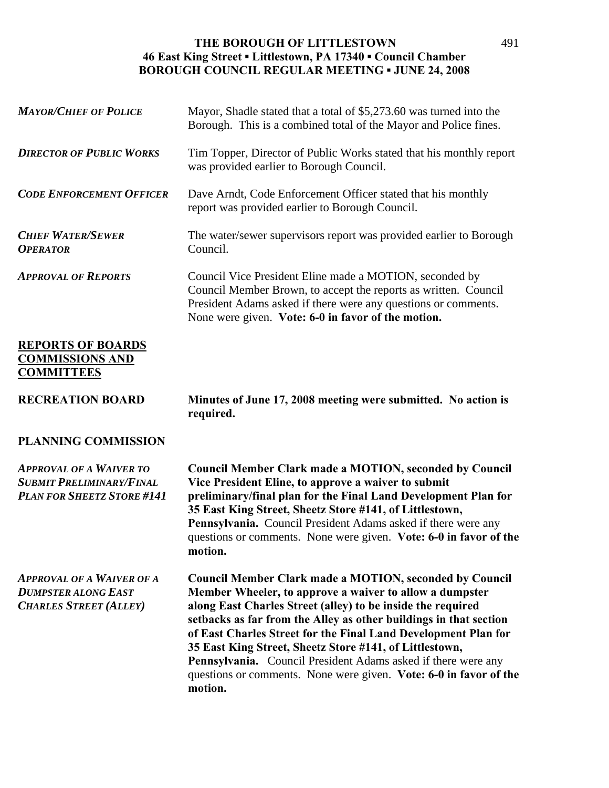| <b>MAYOR/CHIEF OF POLICE</b>                                                                           | Mayor, Shadle stated that a total of \$5,273.60 was turned into the<br>Borough. This is a combined total of the Mayor and Police fines.                                                                                                                                                                                                                                                                                                                                                                                                     |
|--------------------------------------------------------------------------------------------------------|---------------------------------------------------------------------------------------------------------------------------------------------------------------------------------------------------------------------------------------------------------------------------------------------------------------------------------------------------------------------------------------------------------------------------------------------------------------------------------------------------------------------------------------------|
| <b>DIRECTOR OF PUBLIC WORKS</b>                                                                        | Tim Topper, Director of Public Works stated that his monthly report<br>was provided earlier to Borough Council.                                                                                                                                                                                                                                                                                                                                                                                                                             |
| <b>CODE ENFORCEMENT OFFICER</b>                                                                        | Dave Arndt, Code Enforcement Officer stated that his monthly<br>report was provided earlier to Borough Council.                                                                                                                                                                                                                                                                                                                                                                                                                             |
| <b>CHIEF WATER/SEWER</b><br><b>OPERATOR</b>                                                            | The water/sewer supervisors report was provided earlier to Borough<br>Council.                                                                                                                                                                                                                                                                                                                                                                                                                                                              |
| <b>APPROVAL OF REPORTS</b>                                                                             | Council Vice President Eline made a MOTION, seconded by<br>Council Member Brown, to accept the reports as written. Council<br>President Adams asked if there were any questions or comments.<br>None were given. Vote: 6-0 in favor of the motion.                                                                                                                                                                                                                                                                                          |
| <b>REPORTS OF BOARDS</b><br><b>COMMISSIONS AND</b><br><b>COMMITTEES</b>                                |                                                                                                                                                                                                                                                                                                                                                                                                                                                                                                                                             |
| <b>RECREATION BOARD</b>                                                                                | Minutes of June 17, 2008 meeting were submitted. No action is<br>required.                                                                                                                                                                                                                                                                                                                                                                                                                                                                  |
| <b>PLANNING COMMISSION</b>                                                                             |                                                                                                                                                                                                                                                                                                                                                                                                                                                                                                                                             |
| <b>APPROVAL OF A WAIVER TO</b><br><b>SUBMIT PRELIMINARY/FINAL</b><br><b>PLAN FOR SHEETZ STORE #141</b> | <b>Council Member Clark made a MOTION, seconded by Council</b><br>Vice President Eline, to approve a waiver to submit<br>preliminary/final plan for the Final Land Development Plan for<br>35 East King Street, Sheetz Store #141, of Littlestown,<br>Pennsylvania. Council President Adams asked if there were any<br>questions or comments. None were given. Vote: 6-0 in favor of the<br>motion.                                                                                                                                         |
| <b>APPROVAL OF A WAIVER OF A</b><br><b>DUMPSTER ALONG EAST</b><br><b>CHARLES STREET (ALLEY)</b>        | <b>Council Member Clark made a MOTION, seconded by Council</b><br>Member Wheeler, to approve a waiver to allow a dumpster<br>along East Charles Street (alley) to be inside the required<br>setbacks as far from the Alley as other buildings in that section<br>of East Charles Street for the Final Land Development Plan for<br>35 East King Street, Sheetz Store #141, of Littlestown,<br>Pennsylvania. Council President Adams asked if there were any<br>questions or comments. None were given. Vote: 6-0 in favor of the<br>motion. |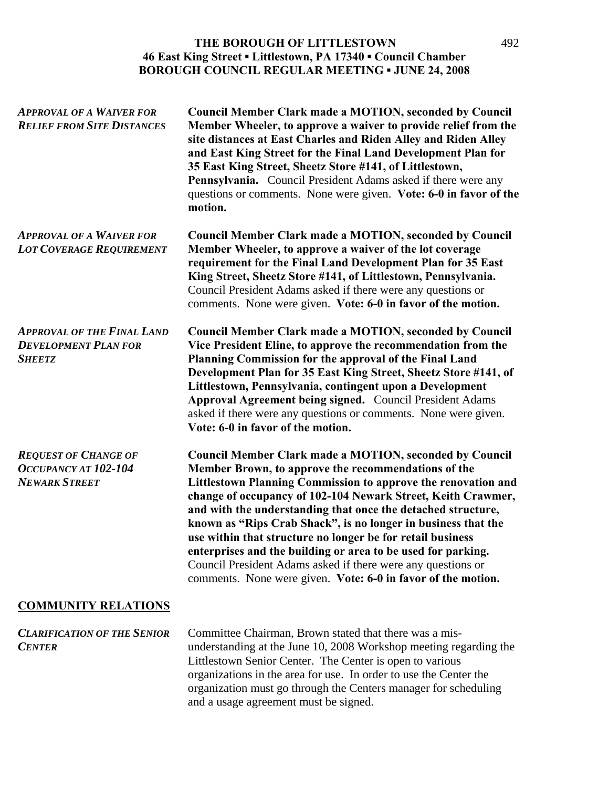| <b>APPROVAL OF A WAIVER FOR</b><br><b>RELIEF FROM SITE DISTANCES</b>              | <b>Council Member Clark made a MOTION, seconded by Council</b><br>Member Wheeler, to approve a waiver to provide relief from the<br>site distances at East Charles and Riden Alley and Riden Alley<br>and East King Street for the Final Land Development Plan for<br>35 East King Street, Sheetz Store #141, of Littlestown,<br>Pennsylvania. Council President Adams asked if there were any<br>questions or comments. None were given. Vote: 6-0 in favor of the<br>motion.                                                                                                                                                                        |
|-----------------------------------------------------------------------------------|-------------------------------------------------------------------------------------------------------------------------------------------------------------------------------------------------------------------------------------------------------------------------------------------------------------------------------------------------------------------------------------------------------------------------------------------------------------------------------------------------------------------------------------------------------------------------------------------------------------------------------------------------------|
| <b>APPROVAL OF A WAIVER FOR</b><br><b>LOT COVERAGE REQUIREMENT</b>                | <b>Council Member Clark made a MOTION, seconded by Council</b><br>Member Wheeler, to approve a waiver of the lot coverage<br>requirement for the Final Land Development Plan for 35 East<br>King Street, Sheetz Store #141, of Littlestown, Pennsylvania.<br>Council President Adams asked if there were any questions or<br>comments. None were given. Vote: 6-0 in favor of the motion.                                                                                                                                                                                                                                                             |
| <b>APPROVAL OF THE FINAL LAND</b><br><b>DEVELOPMENT PLAN FOR</b><br><b>SHEETZ</b> | <b>Council Member Clark made a MOTION, seconded by Council</b><br>Vice President Eline, to approve the recommendation from the<br>Planning Commission for the approval of the Final Land<br>Development Plan for 35 East King Street, Sheetz Store #141, of<br>Littlestown, Pennsylvania, contingent upon a Development<br>Approval Agreement being signed. Council President Adams<br>asked if there were any questions or comments. None were given.<br>Vote: 6-0 in favor of the motion.                                                                                                                                                           |
| <b>REQUEST OF CHANGE OF</b><br>OCCUPANCY AT 102-104<br><b>NEWARK STREET</b>       | <b>Council Member Clark made a MOTION, seconded by Council</b><br>Member Brown, to approve the recommendations of the<br>Littlestown Planning Commission to approve the renovation and<br>change of occupancy of 102-104 Newark Street, Keith Crawmer,<br>and with the understanding that once the detached structure,<br>known as "Rips Crab Shack", is no longer in business that the<br>use within that structure no longer be for retail business<br>enterprises and the building or area to be used for parking.<br>Council President Adams asked if there were any questions or<br>comments. None were given. Vote: 6-0 in favor of the motion. |
| <b>COMMUNITY RELATIONS</b>                                                        |                                                                                                                                                                                                                                                                                                                                                                                                                                                                                                                                                                                                                                                       |
| <b>CLARIFICATION OF THE SENIOR</b><br><b>CENTER</b>                               | Committee Chairman, Brown stated that there was a mis-<br>understanding at the June 10, 2008 Workshop meeting regarding the                                                                                                                                                                                                                                                                                                                                                                                                                                                                                                                           |

Littlestown Senior Center. The Center is open to various organizations in the area for use. In order to use the Center the organization must go through the Centers manager for scheduling

and a usage agreement must be signed.